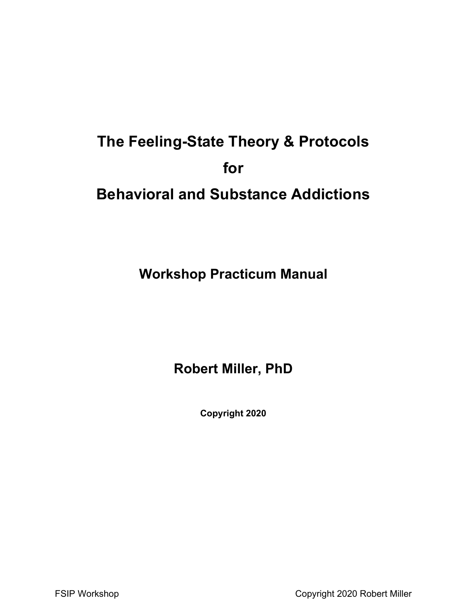# **The Feeling-State Theory & Protocols for Behavioral and Substance Addictions**

**Workshop Practicum Manual** 

**Robert Miller, PhD** 

**Copyright 2020**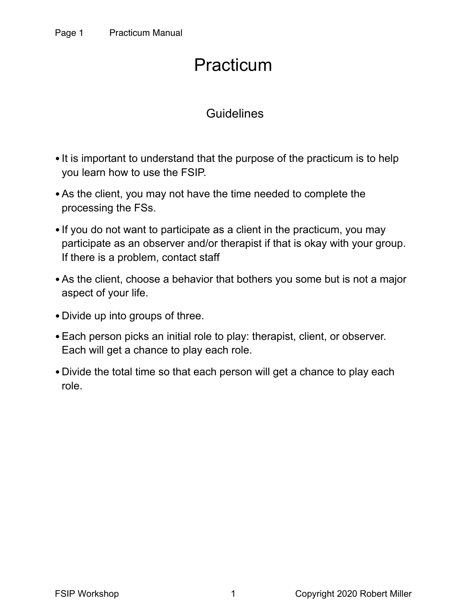## Practicum

### **Guidelines**

- It is important to understand that the purpose of the practicum is to help you learn how to use the FSIP.
- •As the client, you may not have the time needed to complete the processing the FSs.
- If you do not want to participate as a client in the practicum, you may participate as an observer and/or therapist if that is okay with your group. If there is a problem, contact staff
- •As the client, choose a behavior that bothers you some but is not a major aspect of your life.
- Divide up into groups of three.
- •Each person picks an initial role to play: therapist, client, or observer. Each will get a chance to play each role.
- Divide the total time so that each person will get a chance to play each role.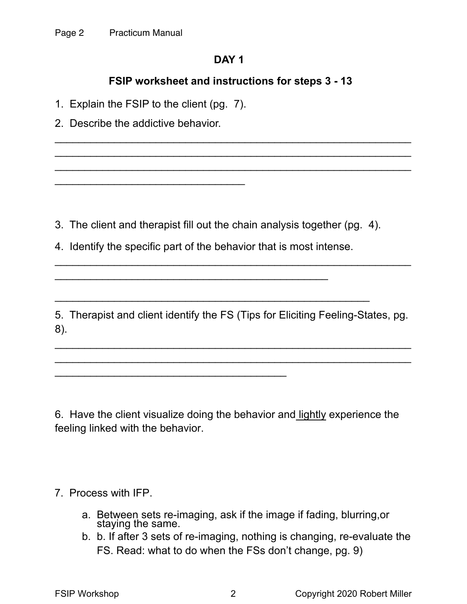#### **DAY 1**

#### **FSIP worksheet and instructions for steps 3 - 13**

 $\mathcal{L}_\text{max}$  , and the contract of the contract of the contract of the contract of the contract of the contract of the contract of the contract of the contract of the contract of the contract of the contract of the contr  $\mathcal{L}_\text{max}$  , and the contract of the contract of the contract of the contract of the contract of the contract of the contract of the contract of the contract of the contract of the contract of the contract of the contr  $\mathcal{L}_\text{max}$  , and the contract of the contract of the contract of the contract of the contract of the contract of the contract of the contract of the contract of the contract of the contract of the contract of the contr

1. Explain the FSIP to the client (pg. 7).

\_\_\_\_\_\_\_\_\_\_\_\_\_\_\_\_\_\_\_\_\_\_\_\_\_\_\_\_\_\_\_\_

2. Describe the addictive behavior.

3. The client and therapist fill out the chain analysis together (pg. 4).

4. Identify the specific part of the behavior that is most intense.

 $\mathcal{L}_\text{max}$  , and the contract of the contract of the contract of the contract of the contract of the contract of the contract of the contract of the contract of the contract of the contract of the contract of the contr

\_\_\_\_\_\_\_\_\_\_\_\_\_\_\_\_\_\_\_\_\_\_\_\_\_\_\_\_\_\_\_\_\_\_\_\_\_\_\_\_\_\_\_\_\_\_

 $\mathcal{L}_\text{max}$  , and the set of the set of the set of the set of the set of the set of the set of the set of the set of the set of the set of the set of the set of the set of the set of the set of the set of the set of the

5. Therapist and client identify the FS (Tips for Eliciting Feeling-States, pg. 8).

 $\mathcal{L}_\text{max}$  , and the contract of the contract of the contract of the contract of the contract of the contract of the contract of the contract of the contract of the contract of the contract of the contract of the contr  $\mathcal{L}_\text{max}$  , and the contract of the contract of the contract of the contract of the contract of the contract of the contract of the contract of the contract of the contract of the contract of the contract of the contr

 $\mathcal{L}_\text{max}$  , and the contribution of the contribution of the contribution of the contribution of the contribution of the contribution of the contribution of the contribution of the contribution of the contribution of t

6. Have the client visualize doing the behavior and lightly experience the feeling linked with the behavior.

- 7. Process with IFP.
	- a. Between sets re-imaging, ask if the image if fading, blurring,or staying the same.
	- b. b. If after 3 sets of re-imaging, nothing is changing, re-evaluate the FS. Read: what to do when the FSs don't change, pg. 9)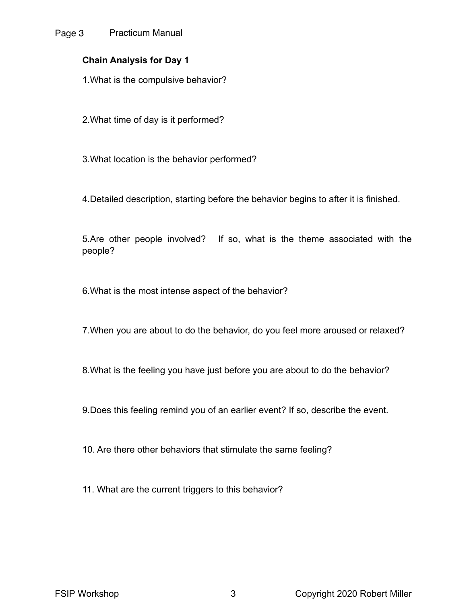Page 3 Practicum Manual

#### **Chain Analysis for Day 1**

1.What is the compulsive behavior?

2.What time of day is it performed?

3.What location is the behavior performed?

4.Detailed description, starting before the behavior begins to after it is finished.

5.Are other people involved? If so, what is the theme associated with the people?

6.What is the most intense aspect of the behavior?

7.When you are about to do the behavior, do you feel more aroused or relaxed?

8.What is the feeling you have just before you are about to do the behavior?

9.Does this feeling remind you of an earlier event? If so, describe the event.

10. Are there other behaviors that stimulate the same feeling?

11. What are the current triggers to this behavior?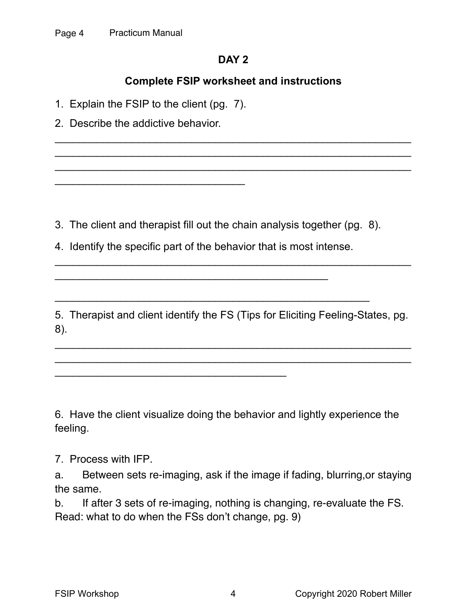#### **DAY 2**

#### **Complete FSIP worksheet and instructions**

 $\mathcal{L}_\text{max}$  , and the contract of the contract of the contract of the contract of the contract of the contract of the contract of the contract of the contract of the contract of the contract of the contract of the contr  $\mathcal{L}_\text{max}$  , and the contract of the contract of the contract of the contract of the contract of the contract of the contract of the contract of the contract of the contract of the contract of the contract of the contr  $\mathcal{L}_\text{max}$  , and the contract of the contract of the contract of the contract of the contract of the contract of the contract of the contract of the contract of the contract of the contract of the contract of the contr

1. Explain the FSIP to the client (pg. 7).

\_\_\_\_\_\_\_\_\_\_\_\_\_\_\_\_\_\_\_\_\_\_\_\_\_\_\_\_\_\_\_\_

2. Describe the addictive behavior.

3. The client and therapist fill out the chain analysis together (pg. 8).

4. Identify the specific part of the behavior that is most intense.

 $\mathcal{L}_\text{max}$  , and the contract of the contract of the contract of the contract of the contract of the contract of the contract of the contract of the contract of the contract of the contract of the contract of the contr

\_\_\_\_\_\_\_\_\_\_\_\_\_\_\_\_\_\_\_\_\_\_\_\_\_\_\_\_\_\_\_\_\_\_\_\_\_\_\_\_\_\_\_\_\_\_

 $\mathcal{L}_\text{max}$  , and the set of the set of the set of the set of the set of the set of the set of the set of the set of the set of the set of the set of the set of the set of the set of the set of the set of the set of the

5. Therapist and client identify the FS (Tips for Eliciting Feeling-States, pg. 8).

 $\mathcal{L}_\text{max}$  , and the contract of the contract of the contract of the contract of the contract of the contract of the contract of the contract of the contract of the contract of the contract of the contract of the contr  $\mathcal{L}_\text{max}$  , and the contract of the contract of the contract of the contract of the contract of the contract of the contract of the contract of the contract of the contract of the contract of the contract of the contr

 $\mathcal{L}_\text{max}$  , and the contribution of the contribution of the contribution of the contribution of the contribution of the contribution of the contribution of the contribution of the contribution of the contribution of t

6. Have the client visualize doing the behavior and lightly experience the feeling.

7. Process with IFP.

a. Between sets re-imaging, ask if the image if fading, blurring,or staying the same.

b. If after 3 sets of re-imaging, nothing is changing, re-evaluate the FS. Read: what to do when the FSs don't change, pg. 9)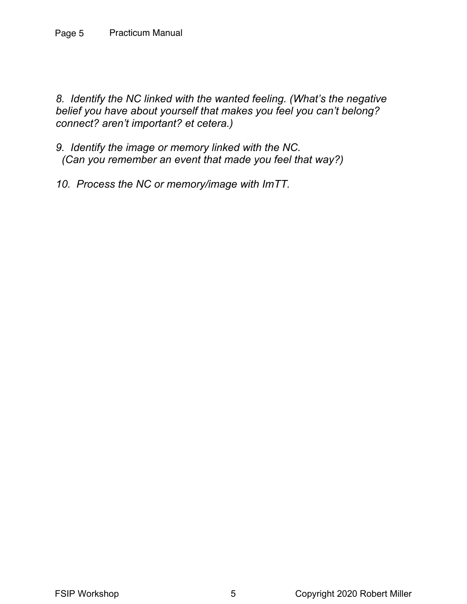*8. Identify the NC linked with the wanted feeling. (What's the negative belief you have about yourself that makes you feel you can't belong? connect? aren't important? et cetera.)*

- *9. Identify the image or memory linked with the NC. (Can you remember an event that made you feel that way?)*
- *10. Process the NC or memory/image with ImTT.*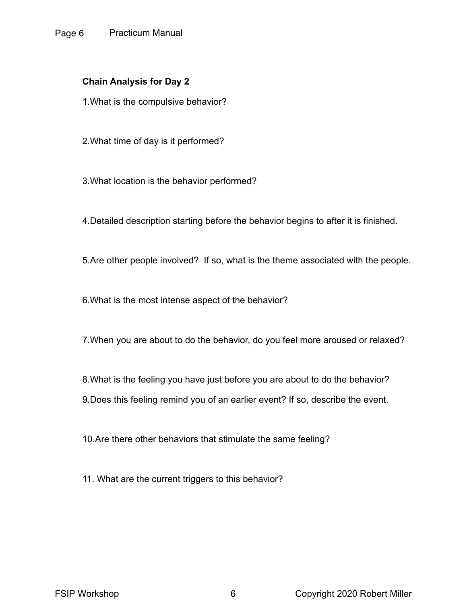#### **Chain Analysis for Day 2**

1.What is the compulsive behavior?

2.What time of day is it performed?

3.What location is the behavior performed?

4.Detailed description starting before the behavior begins to after it is finished.

5.Are other people involved? If so, what is the theme associated with the people.

6.What is the most intense aspect of the behavior?

7.When you are about to do the behavior, do you feel more aroused or relaxed?

8.What is the feeling you have just before you are about to do the behavior?

9.Does this feeling remind you of an earlier event? If so, describe the event.

10.Are there other behaviors that stimulate the same feeling?

11. What are the current triggers to this behavior?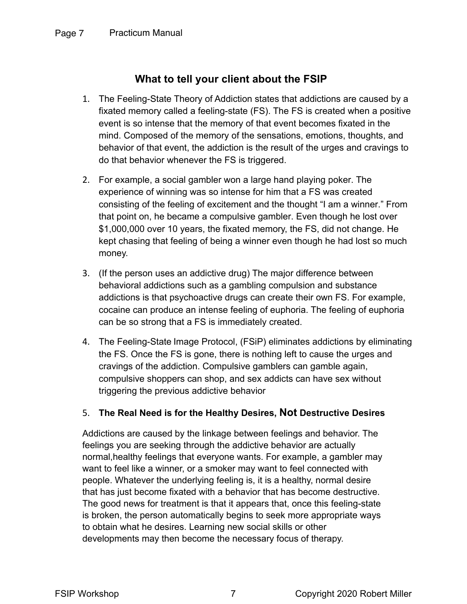#### **What to tell your client about the FSIP**

- 1. The Feeling-State Theory of Addiction states that addictions are caused by a fixated memory called a feeling-state (FS). The FS is created when a positive event is so intense that the memory of that event becomes fixated in the mind. Composed of the memory of the sensations, emotions, thoughts, and behavior of that event, the addiction is the result of the urges and cravings to do that behavior whenever the FS is triggered.
- 2. For example, a social gambler won a large hand playing poker. The experience of winning was so intense for him that a FS was created consisting of the feeling of excitement and the thought "I am a winner." From that point on, he became a compulsive gambler. Even though he lost over \$1,000,000 over 10 years, the fixated memory, the FS, did not change. He kept chasing that feeling of being a winner even though he had lost so much money.
- 3. (If the person uses an addictive drug) The major difference between behavioral addictions such as a gambling compulsion and substance addictions is that psychoactive drugs can create their own FS. For example, cocaine can produce an intense feeling of euphoria. The feeling of euphoria can be so strong that a FS is immediately created.
- 4. The Feeling-State Image Protocol, (FSiP) eliminates addictions by eliminating the FS. Once the FS is gone, there is nothing left to cause the urges and cravings of the addiction. Compulsive gamblers can gamble again, compulsive shoppers can shop, and sex addicts can have sex without triggering the previous addictive behavior

#### 5. **The Real Need is for the Healthy Desires, Not Destructive Desires**

Addictions are caused by the linkage between feelings and behavior. The feelings you are seeking through the addictive behavior are actually normal,healthy feelings that everyone wants. For example, a gambler may want to feel like a winner, or a smoker may want to feel connected with people. Whatever the underlying feeling is, it is a healthy, normal desire that has just become fixated with a behavior that has become destructive. The good news for treatment is that it appears that, once this feeling-state is broken, the person automatically begins to seek more appropriate ways to obtain what he desires. Learning new social skills or other developments may then become the necessary focus of therapy.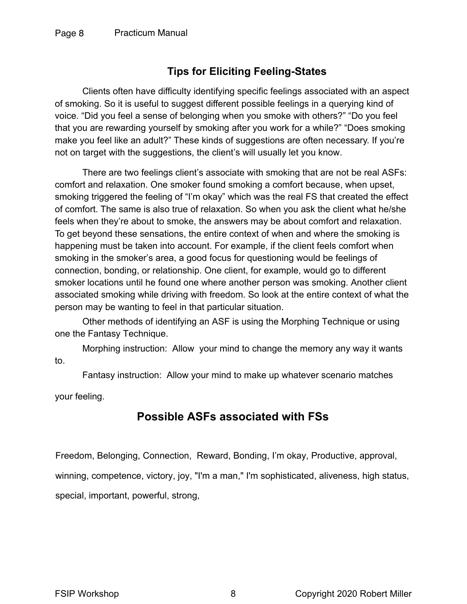#### **Tips for Eliciting Feeling-States**

Clients often have difficulty identifying specific feelings associated with an aspect of smoking. So it is useful to suggest different possible feelings in a querying kind of voice. "Did you feel a sense of belonging when you smoke with others?" "Do you feel that you are rewarding yourself by smoking after you work for a while?" "Does smoking make you feel like an adult?" These kinds of suggestions are often necessary. If you're not on target with the suggestions, the client's will usually let you know.

There are two feelings client's associate with smoking that are not be real ASFs: comfort and relaxation. One smoker found smoking a comfort because, when upset, smoking triggered the feeling of "I'm okay" which was the real FS that created the effect of comfort. The same is also true of relaxation. So when you ask the client what he/she feels when they're about to smoke, the answers may be about comfort and relaxation. To get beyond these sensations, the entire context of when and where the smoking is happening must be taken into account. For example, if the client feels comfort when smoking in the smoker's area, a good focus for questioning would be feelings of connection, bonding, or relationship. One client, for example, would go to different smoker locations until he found one where another person was smoking. Another client associated smoking while driving with freedom. So look at the entire context of what the person may be wanting to feel in that particular situation.

Other methods of identifying an ASF is using the Morphing Technique or using one the Fantasy Technique.

Morphing instruction: Allow your mind to change the memory any way it wants to.

Fantasy instruction: Allow your mind to make up whatever scenario matches

your feeling.

#### **Possible ASFs associated with FSs**

Freedom, Belonging, Connection, Reward, Bonding, I'm okay, Productive, approval, winning, competence, victory, joy, "I'm a man," I'm sophisticated, aliveness, high status, special, important, powerful, strong,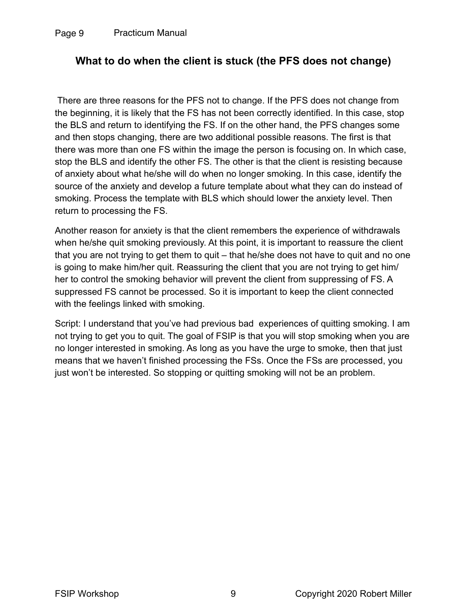#### **What to do when the client is stuck (the PFS does not change)**

There are three reasons for the PFS not to change. If the PFS does not change from the beginning, it is likely that the FS has not been correctly identified. In this case, stop the BLS and return to identifying the FS. If on the other hand, the PFS changes some and then stops changing, there are two additional possible reasons. The first is that there was more than one FS within the image the person is focusing on. In which case, stop the BLS and identify the other FS. The other is that the client is resisting because of anxiety about what he/she will do when no longer smoking. In this case, identify the source of the anxiety and develop a future template about what they can do instead of smoking. Process the template with BLS which should lower the anxiety level. Then return to processing the FS.

Another reason for anxiety is that the client remembers the experience of withdrawals when he/she quit smoking previously. At this point, it is important to reassure the client that you are not trying to get them to quit – that he/she does not have to quit and no one is going to make him/her quit. Reassuring the client that you are not trying to get him/ her to control the smoking behavior will prevent the client from suppressing of FS. A suppressed FS cannot be processed. So it is important to keep the client connected with the feelings linked with smoking.

Script: I understand that you've had previous bad experiences of quitting smoking. I am not trying to get you to quit. The goal of FSIP is that you will stop smoking when you are no longer interested in smoking. As long as you have the urge to smoke, then that just means that we haven't finished processing the FSs. Once the FSs are processed, you just won't be interested. So stopping or quitting smoking will not be an problem.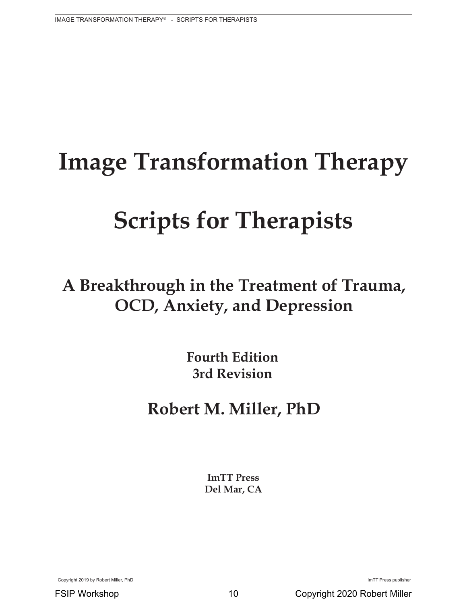# **Image Transformation Therapy**

# **Scripts for Therapists**

## **A Breakthrough in the Treatment of Trauma, OCD, Anxiety, and Depression**

**Fourth Edition 3rd Revision**

## **Robert M. Miller, PhD**

**ImTT Press Del Mar, CA**

Copyright 2019 by Robert Miller, PhD imaging the state of the state of the state of the state of the state of the state of the state of the state of the state of the state of the state of the state of the state of the stat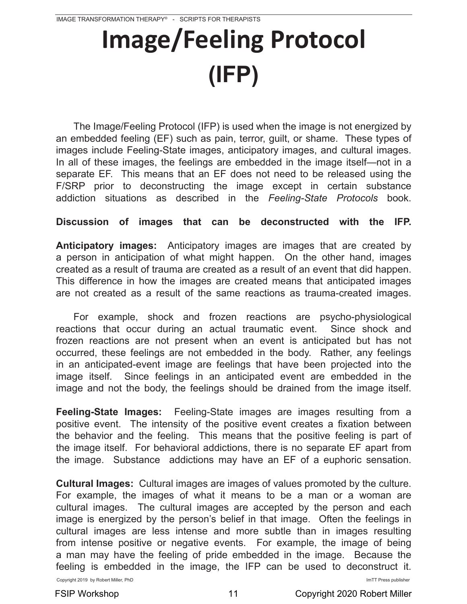# **Image/Feeling Protocol (IFP)**

The Image/Feeling Protocol (IFP) is used when the image is not energized by an embedded feeling (EF) such as pain, terror, guilt, or shame. These types of images include Feeling-State images, anticipatory images, and cultural images. In all of these images, the feelings are embedded in the image itself—not in a separate EF. This means that an EF does not need to be released using the F/SRP prior to deconstructing the image except in certain substance addiction situations as described in the *Feeling-State Protocols* book.

#### **Discussion of images that can be deconstructed with the IFP.**

**Anticipatory images:** Anticipatory images are images that are created by a person in anticipation of what might happen. On the other hand, images created as a result of trauma are created as a result of an event that did happen. This difference in how the images are created means that anticipated images are not created as a result of the same reactions as trauma-created images.

For example, shock and frozen reactions are psycho-physiological reactions that occur during an actual traumatic event. Since shock and frozen reactions are not present when an event is anticipated but has not occurred, these feelings are not embedded in the body. Rather, any feelings in an anticipated-event image are feelings that have been projected into the image itself. Since feelings in an anticipated event are embedded in the image and not the body, the feelings should be drained from the image itself.

**Feeling-State Images:** Feeling-State images are images resulting from a positive event. The intensity of the positive event creates a fixation between the behavior and the feeling. This means that the positive feeling is part of the image itself. For behavioral addictions, there is no separate EF apart from the image. Substance addictions may have an EF of a euphoric sensation.

Copyright 2019 by Robert Miller, PhD improvements and the state of the state of the state of the state of the state of the state of the state of the state of the state of the state of the state of the state of the state of **Cultural Images:** Cultural images are images of values promoted by the culture. For example, the images of what it means to be a man or a woman are cultural images. The cultural images are accepted by the person and each image is energized by the person's belief in that image. Often the feelings in cultural images are less intense and more subtle than in images resulting from intense positive or negative events. For example, the image of being a man may have the feeling of pride embedded in the image. Because the feeling is embedded in the image, the IFP can be used to deconstruct it.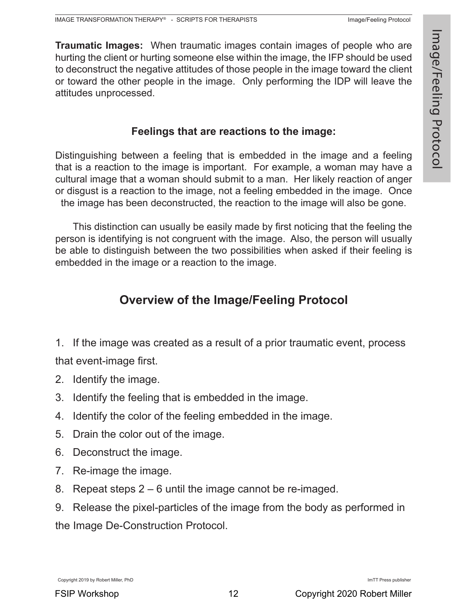**Traumatic Images:** When traumatic images contain images of people who are hurting the client or hurting someone else within the image, the IFP should be used to deconstruct the negative attitudes of those people in the image toward the client or toward the other people in the image. Only performing the IDP will leave the attitudes unprocessed.

#### **Feelings that are reactions to the image:**

Distinguishing between a feeling that is embedded in the image and a feeling that is a reaction to the image is important. For example, a woman may have a cultural image that a woman should submit to a man. Her likely reaction of anger or disgust is a reaction to the image, not a feeling embedded in the image. Once the image has been deconstructed, the reaction to the image will also be gone.

This distinction can usually be easily made by first noticing that the feeling the person is identifying is not congruent with the image. Also, the person will usually be able to distinguish between the two possibilities when asked if their feeling is embedded in the image or a reaction to the image.

### **Overview of the lmage/Feeling Protocol**

1. If the image was created as a result of a prior traumatic event, process that event-image first.

- 2. Identify the image.
- 3. Identify the feeling that is embedded in the image.
- 4. Identify the color of the feeling embedded in the image.
- 5. Drain the color out of the image.
- 6. Deconstruct the image.
- 7. Re-image the image.
- 8. Repeat steps 2 6 until the image cannot be re-imaged.
- 9. Release the pixel-particles of the image from the body as performed in

the Image De-Construction Protocol.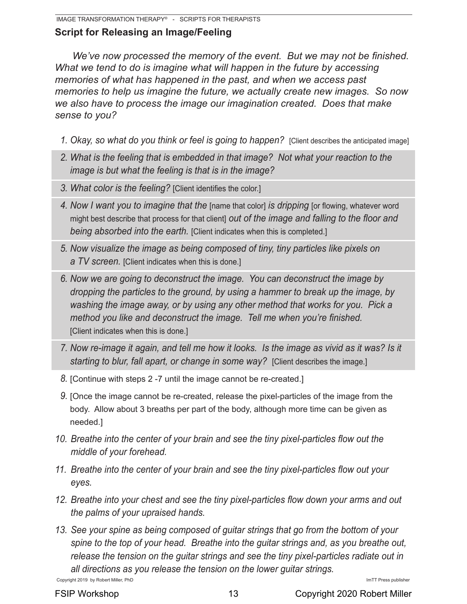#### **Script for Releasing an Image/Feeling**

*We've now processed the memory of the event. But we may not be finished.*  What we tend to do is imagine what will happen in the future by accessing *memories of what has happened in the past, and when we access past memories to help us imagine the future, we actually create new images. So now we also have to process the image our imagination created. Does that make sense to you?*

- *1. Okay, so what do you think or feel is going to happen?* [Client describes the anticipated image]
- *2. What is the feeling that is embedded in that image? Not what your reaction to the image is but what the feeling is that is in the image?*
- *3. What color is the feeling?* [Client identifies the color.]
- *4. Now I want you to imagine that the* [name that color] *is dripping* [or flowing, whatever word might best describe that process for that client] *out of the image and falling to the floor and being absorbed into the earth.* [Client indicates when this is completed.]
- *5. Now visualize the image as being composed of tiny, tiny particles like pixels on a TV screen.* [Client indicates when this is done.]
- *6. Now we are going to deconstruct the image. You can deconstruct the image by dropping the particles to the ground, by using a hammer to break up the image, by washing the image away, or by using any other method that works for you. Pick a method you like and deconstruct the image. Tell me when you're finished.* [Client indicates when this is done.]
- *7. Now re-image it again, and tell me how it looks. Is the image as vivid as it was? Is it starting to blur, fall apart, or change in some way?* [Client describes the image.]
- *8.* [Continue with steps 2 -7 until the image cannot be re-created.]
- *9.* [Once the image cannot be re-created, release the pixel-particles of the image from the body. Allow about 3 breaths per part of the body, although more time can be given as needed.]
- *10. Breathe into the center of your brain and see the tiny pixel-particles flow out the middle of your forehead.*
- *11. Breathe into the center of your brain and see the tiny pixel-particles flow out your eyes.*
- *12. Breathe into your chest and see the tiny pixel-particles flow down your arms and out the palms of your upraised hands.*
- Copyright 2019 by Robert Miller, PhD improvements and the state of the state of the state of the state of the state of the state of the state of the state of the state of the state of the state of the state of the state of *13. See your spine as being composed of guitar strings that go from the bottom of your spine to the top of your head. Breathe into the guitar strings and, as you breathe out, release the tension on the guitar strings and see the tiny pixel-particles radiate out in all directions as you release the tension on the lower guitar strings.*

FSIP Workshop 13 Copyright 2020 Robert Miller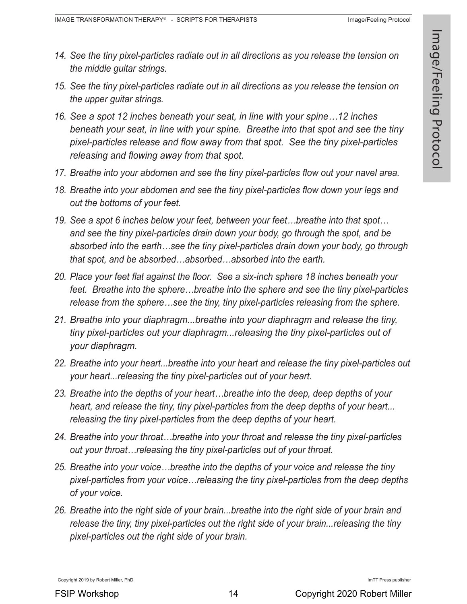- *14. See the tiny pixel-particles radiate out in all directions as you release the tension on the middle guitar strings.*
- *15. See the tiny pixel-particles radiate out in all directions as you release the tension on the upper guitar strings.*
- *16. See a spot 12 inches beneath your seat, in line with your spine…12 inches beneath your seat, in line with your spine. Breathe into that spot and see the tiny pixel-particles release and flow away from that spot. See the tiny pixel-particles releasing and flowing away from that spot.*
- *17. Breathe into your abdomen and see the tiny pixel-particles flow out your navel area.*
- *18. Breathe into your abdomen and see the tiny pixel-particles flow down your legs and out the bottoms of your feet.*
- *19. See a spot 6 inches below your feet, between your feet…breathe into that spot… and see the tiny pixel-particles drain down your body, go through the spot, and be absorbed into the earth…see the tiny pixel-particles drain down your body, go through that spot, and be absorbed…absorbed…absorbed into the earth.*
- *20. Place your feet flat against the floor. See a six-inch sphere 18 inches beneath your feet. Breathe into the sphere…breathe into the sphere and see the tiny pixel-particles release from the sphere…see the tiny, tiny pixel-particles releasing from the sphere.*
- *21. Breathe into your diaphragm...breathe into your diaphragm and release the tiny, tiny pixel-particles out your diaphragm...releasing the tiny pixel-particles out of your diaphragm.*
- *22. Breathe into your heart...breathe into your heart and release the tiny pixel-particles out your heart...releasing the tiny pixel-particles out of your heart.*
- *23. Breathe into the depths of your heart…breathe into the deep, deep depths of your heart, and release the tiny, tiny pixel-particles from the deep depths of your heart... releasing the tiny pixel-particles from the deep depths of your heart.*
- *24. Breathe into your throat…breathe into your throat and release the tiny pixel-particles out your throat…releasing the tiny pixel-particles out of your throat.*
- *25. Breathe into your voice…breathe into the depths of your voice and release the tiny pixel-particles from your voice…releasing the tiny pixel-particles from the deep depths of your voice.*
- *26. Breathe into the right side of your brain...breathe into the right side of your brain and release the tiny, tiny pixel-particles out the right side of your brain...releasing the tiny pixel-particles out the right side of your brain.*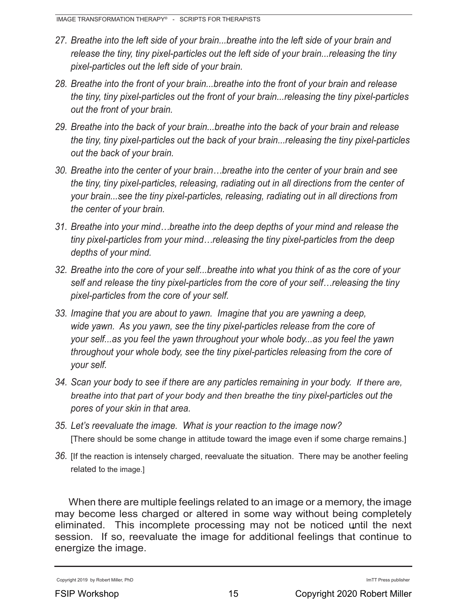- *27. Breathe into the left side of your brain...breathe into the left side of your brain and release the tiny, tiny pixel-particles out the left side of your brain...releasing the tiny pixel-particles out the left side of your brain.*
- *28. Breathe into the front of your brain...breathe into the front of your brain and release the tiny, tiny pixel-particles out the front of your brain...releasing the tiny pixel-particles out the front of your brain.*
- *29. Breathe into the back of your brain...breathe into the back of your brain and release the tiny, tiny pixel-particles out the back of your brain...releasing the tiny pixel-particles out the back of your brain.*
- *30. Breathe into the center of your brain…breathe into the center of your brain and see the tiny, tiny pixel-particles, releasing, radiating out in all directions from the center of your brain...see the tiny pixel-particles, releasing, radiating out in all directions from the center of your brain.*
- *31. Breathe into your mind…breathe into the deep depths of your mind and release the tiny pixel-particles from your mind…releasing the tiny pixel-particles from the deep depths of your mind.*
- *32. Breathe into the core of your self...breathe into what you think of as the core of your self and release the tiny pixel-particles from the core of your self…releasing the tiny pixel-particles from the core of your self.*
- *33. Imagine that you are about to yawn. Imagine that you are yawning a deep, wide yawn. As you yawn, see the tiny pixel-particles release from the core of your self...as you feel the yawn throughout your whole body...as you feel the yawn throughout your whole body, see the tiny pixel-particles releasing from the core of your self.*
- *34. Scan your body to see if there are any particles remaining in your body. If there are, breathe into that part of your body and then breathe the tiny pixel-particles out the pores of your skin in that area.*
- *35. Let's reevaluate the image. What is your reaction to the image now?* [There should be some change in attitude toward the image even if some charge remains.]
- *36.* [If the reaction is intensely charged, reevaluate the situation. There may be another feeling related to the image.]

When there are multiple feelings related to an image or a memory, the image may become less charged or altered in some way without being completely eliminated. This incomplete processing may not be noticed until the next session. If so, reevaluate the image for additional feelings that continue to energize the image.

Copyright 2019 by Robert Miller, PhD improvements and the control of the control of the control of the control of the control of the control of the control of the control of the control of the control of the control of the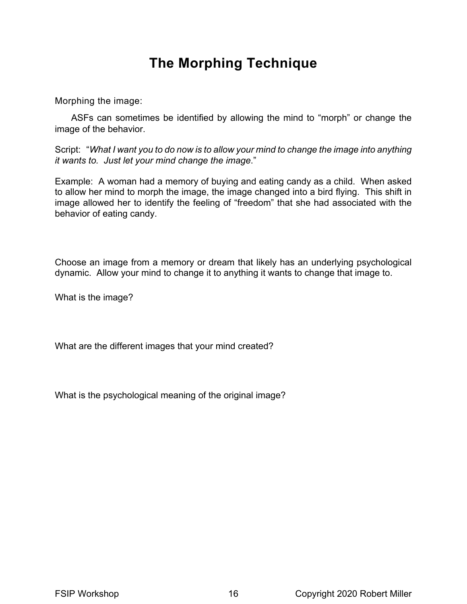## **The Morphing Technique**

Morphing the image:

 ASFs can sometimes be identified by allowing the mind to "morph" or change the image of the behavior.

Script:   "*What I want you to do now is to allow your mind to change the image into anything it wants to. Just let your mind change the image*."

Example:   A woman had a memory of buying and eating candy as a child. When asked to allow her mind to morph the image, the image changed into a bird flying. This shift in image allowed her to identify the feeling of "freedom" that she had associated with the behavior of eating candy.

Choose an image from a memory or dream that likely has an underlying psychological dynamic. Allow your mind to change it to anything it wants to change that image to.

What is the image?

What are the different images that your mind created?

What is the psychological meaning of the original image?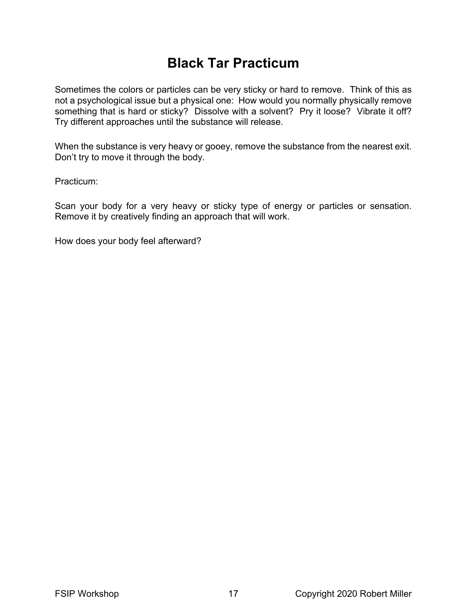## **Black Tar Practicum**

Sometimes the colors or particles can be very sticky or hard to remove. Think of this as not a psychological issue but a physical one: How would you normally physically remove something that is hard or sticky? Dissolve with a solvent? Pry it loose? Vibrate it off? Try different approaches until the substance will release.

When the substance is very heavy or gooey, remove the substance from the nearest exit. Don't try to move it through the body.

Practicum:

Scan your body for a very heavy or sticky type of energy or particles or sensation. Remove it by creatively finding an approach that will work.

How does your body feel afterward?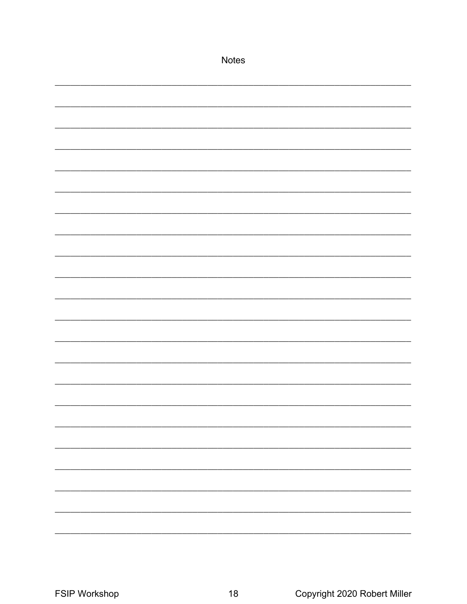| Notes |
|-------|
|       |
|       |
|       |
|       |
|       |
|       |
|       |
|       |
|       |
|       |
|       |
|       |
|       |
|       |
|       |
|       |
|       |
|       |
|       |
|       |
|       |
|       |
|       |
|       |
|       |
|       |
|       |
|       |
|       |
|       |
|       |
|       |
|       |
|       |
|       |
| -     |
|       |
|       |